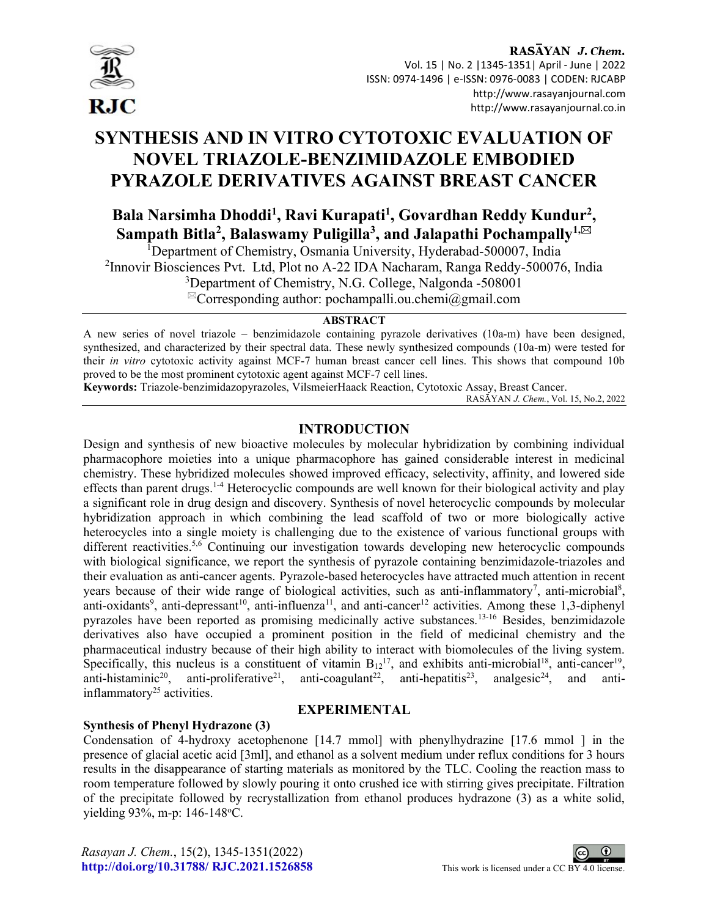

# SYNTHESIS AND IN VITRO CYTOTOXIC EVALUATION OF NOVEL TRIAZOLE-BENZIMIDAZOLE EMBODIED PYRAZOLE DERIVATIVES AGAINST BREAST CANCER

## Bala Narsimha Dhoddi<sup>1</sup>, Ravi Kurapati<sup>1</sup>, Govardhan Reddy Kundur<sup>2</sup>, Sampath Bitla<sup>2</sup>, Balaswamy Puligilla<sup>3</sup>, and Jalapathi Pochampally<sup>1,⊠</sup>

<sup>1</sup>Department of Chemistry, Osmania University, Hyderabad-500007, India <sup>2</sup>Innovir Biosciences Pvt. Ltd, Plot no A-22 IDA Nacharam, Ranga Reddy-500076, India <sup>3</sup>Department of Chemistry, N.G. College, Nalgonda -508001

 ${}^{\boxtimes}$ Corresponding author: pochampalli.ou.chemi@gmail.com

#### **ABSTRACT**

A new series of novel triazole – benzimidazole containing pyrazole derivatives (10a-m) have been designed, synthesized, and characterized by their spectral data. These newly synthesized compounds (10a-m) were tested for their in vitro cytotoxic activity against MCF-7 human breast cancer cell lines. This shows that compound 10b proved to be the most prominent cytotoxic agent against MCF-7 cell lines.

Keywords: Triazole-benzimidazopyrazoles, VilsmeierHaack Reaction, Cytotoxic Assay, Breast Cancer.

RASĀYAN J. Chem., Vol. 15, No.2, 2022

#### INTRODUCTION

Design and synthesis of new bioactive molecules by molecular hybridization by combining individual pharmacophore moieties into a unique pharmacophore has gained considerable interest in medicinal chemistry. These hybridized molecules showed improved efficacy, selectivity, affinity, and lowered side effects than parent drugs.1-4 Heterocyclic compounds are well known for their biological activity and play a significant role in drug design and discovery. Synthesis of novel heterocyclic compounds by molecular hybridization approach in which combining the lead scaffold of two or more biologically active heterocycles into a single moiety is challenging due to the existence of various functional groups with different reactivities.<sup>5,6</sup> Continuing our investigation towards developing new heterocyclic compounds with biological significance, we report the synthesis of pyrazole containing benzimidazole-triazoles and their evaluation as anti-cancer agents. Pyrazole-based heterocycles have attracted much attention in recent years because of their wide range of biological activities, such as anti-inflammatory<sup>7</sup>, anti-microbial<sup>8</sup>, anti-oxidants<sup>9</sup>, anti-depressant<sup>10</sup>, anti-influenza<sup>11</sup>, and anti-cancer<sup>12</sup> activities. Among these 1,3-diphenyl pyrazoles have been reported as promising medicinally active substances.13-16 Besides, benzimidazole derivatives also have occupied a prominent position in the field of medicinal chemistry and the pharmaceutical industry because of their high ability to interact with biomolecules of the living system. Specifically, this nucleus is a constituent of vitamin  $B_{12}^{17}$ , and exhibits anti-microbial<sup>18</sup>, anti-cancer<sup>19</sup>, anti-histaminic<sup>20</sup>, anti-proliferative<sup>21</sup>, anti-coagulant<sup>22</sup>, anti-hepatitis<sup>23</sup>, analgesic<sup>24</sup>, and antiinflammatory<sup>25</sup> activities.

#### EXPERIMENTAL

### Synthesis of Phenyl Hydrazone (3)

Condensation of 4-hydroxy acetophenone [14.7 mmol] with phenylhydrazine [17.6 mmol ] in the presence of glacial acetic acid [3ml], and ethanol as a solvent medium under reflux conditions for 3 hours results in the disappearance of starting materials as monitored by the TLC. Cooling the reaction mass to room temperature followed by slowly pouring it onto crushed ice with stirring gives precipitate. Filtration of the precipitate followed by recrystallization from ethanol produces hydrazone (3) as a white solid, yielding 93%, m-p: 146-148 °C.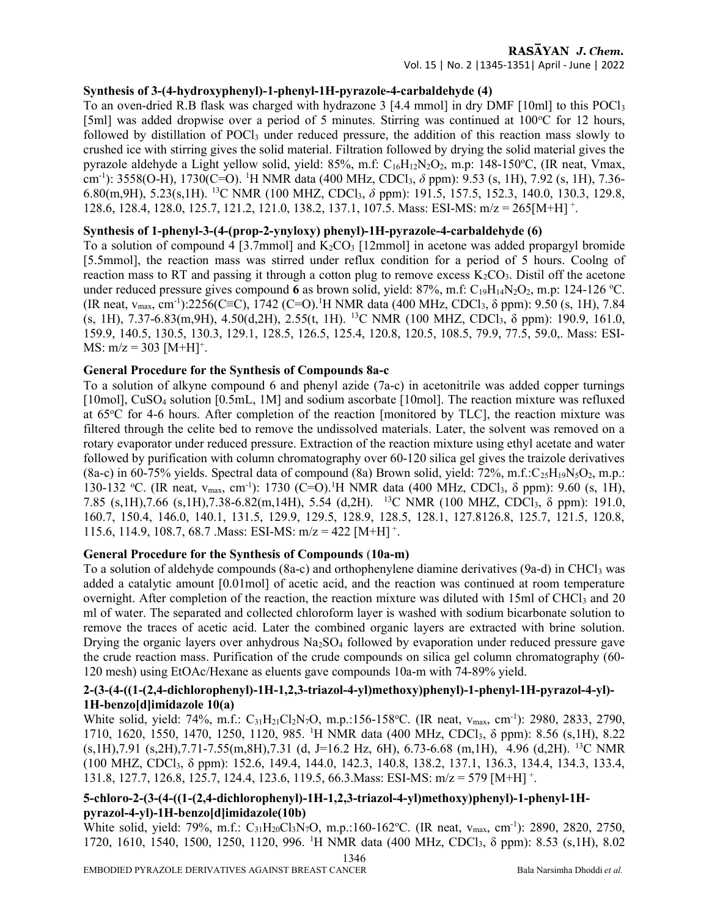#### RASAYAN J. Chem. Vol. 15 | No. 2 |1345-1351| April - June | 2022

#### Synthesis of 3-(4-hydroxyphenyl)-1-phenyl-1H-pyrazole-4-carbaldehyde (4)

To an oven-dried R.B flask was charged with hydrazone 3 [4.4 mmol] in dry DMF [10ml] to this POCl<sup>3</sup> [5ml] was added dropwise over a period of 5 minutes. Stirring was continued at  $100^{\circ}$ C for 12 hours, followed by distillation of POCl<sub>3</sub> under reduced pressure, the addition of this reaction mass slowly to crushed ice with stirring gives the solid material. Filtration followed by drying the solid material gives the pyrazole aldehyde a Light yellow solid, yield:  $85\%$ , m.f:  $C_{16}H_{12}N_2O_2$ , m.p:  $148-150\degree C$ , (IR neat, Vmax, cm<sup>-1</sup>): 3558(O-H), 1730(C=O). <sup>1</sup>H NMR data (400 MHz, CDCl<sub>3</sub>,  $\delta$  ppm): 9.53 (s, 1H), 7.92 (s, 1H), 7.36-6.80(m,9H), 5.23(s,1H). <sup>13</sup>C NMR (100 MHZ, CDCl3, δ ppm): 191.5, 157.5, 152.3, 140.0, 130.3, 129.8, 128.6, 128.4, 128.0, 125.7, 121.2, 121.0, 138.2, 137.1, 107.5. Mass: ESI-MS: m/z = 265[M+H]<sup>+</sup>.

#### Synthesis of 1-phenyl-3-(4-(prop-2-ynyloxy) phenyl)-1H-pyrazole-4-carbaldehyde (6)

To a solution of compound 4 [3.7mmol] and  $K_2CO_3$  [12mmol] in acetone was added propargyl bromide [5.5mmol], the reaction mass was stirred under reflux condition for a period of 5 hours. Coolng of reaction mass to RT and passing it through a cotton plug to remove excess  $K_2CO_3$ . Distil off the acetone under reduced pressure gives compound 6 as brown solid, yield: 87%, m.f:  $C_{19}H_{14}N_2O_2$ , m.p: 124-126 °C. (IR neat,  $v_{\text{max}}$ , cm<sup>-1</sup>):2256(C≡C), 1742 (C=O).<sup>1</sup>H NMR data (400 MHz, CDCl<sub>3</sub>,  $\delta$  ppm): 9.50 (s, 1H), 7.84 (s, 1H), 7.37-6.83(m,9H), 4.50(d,2H), 2.55(t, 1H). <sup>13</sup>C NMR (100 MHZ, CDCl3, δ ppm): 190.9, 161.0, 159.9, 140.5, 130.5, 130.3, 129.1, 128.5, 126.5, 125.4, 120.8, 120.5, 108.5, 79.9, 77.5, 59.0,. Mass: ESI-MS:  $m/z = 303$  [M+H]<sup>+</sup>.

#### General Procedure for the Synthesis of Compounds 8a-c

To a solution of alkyne compound 6 and phenyl azide (7a-c) in acetonitrile was added copper turnings [10mol], CuSO<sub>4</sub> solution [0.5mL, 1M] and sodium ascorbate [10mol]. The reaction mixture was refluxed at 65°C for 4-6 hours. After completion of the reaction [monitored by TLC], the reaction mixture was filtered through the celite bed to remove the undissolved materials. Later, the solvent was removed on a rotary evaporator under reduced pressure. Extraction of the reaction mixture using ethyl acetate and water followed by purification with column chromatography over 60-120 silica gel gives the traizole derivatives (8a-c) in 60-75% yields. Spectral data of compound (8a) Brown solid, yield:  $72\%$ , m.f.: $C_25H_19N_5O_2$ , m.p.: 130-132 °C. (IR neat,  $v_{\text{max}}$ , cm<sup>-1</sup>): 1730 (C=O).<sup>1</sup>H NMR data (400 MHz, CDCl<sub>3</sub>,  $\delta$  ppm): 9.60 (s, 1H), 7.85 (s,1H),7.66 (s,1H),7.38-6.82(m,14H), 5.54 (d,2H). <sup>13</sup>C NMR (100 MHZ, CDCl3, δ ppm): 191.0, 160.7, 150.4, 146.0, 140.1, 131.5, 129.9, 129.5, 128.9, 128.5, 128.1, 127.8126.8, 125.7, 121.5, 120.8, 115.6, 114.9, 108.7, 68.7 . Mass: ESI-MS:  $m/z = 422$  [M+H]<sup>+</sup>.

### General Procedure for the Synthesis of Compounds (10a-m)

To a solution of aldehyde compounds (8a-c) and orthophenylene diamine derivatives (9a-d) in CHCl<sub>3</sub> was added a catalytic amount [0.01mol] of acetic acid, and the reaction was continued at room temperature overnight. After completion of the reaction, the reaction mixture was diluted with 15ml of CHCl<sub>3</sub> and 20 ml of water. The separated and collected chloroform layer is washed with sodium bicarbonate solution to remove the traces of acetic acid. Later the combined organic layers are extracted with brine solution. Drying the organic layers over anhydrous  $Na<sub>2</sub>SO<sub>4</sub>$  followed by evaporation under reduced pressure gave the crude reaction mass. Purification of the crude compounds on silica gel column chromatography (60- 120 mesh) using EtOAc/Hexane as eluents gave compounds 10a-m with 74-89% yield.

#### 2-(3-(4-((1-(2,4-dichlorophenyl)-1H-1,2,3-triazol-4-yl)methoxy)phenyl)-1-phenyl-1H-pyrazol-4-yl)- 1H-benzo[d]imidazole 10(a)

White solid, yield: 74%, m.f.: C<sub>31</sub>H<sub>21</sub>Cl<sub>2</sub>N<sub>7</sub>O, m.p.:156-158°C. (IR neat, v<sub>max</sub>, cm<sup>-1</sup>): 2980, 2833, 2790, 1710, 1620, 1550, 1470, 1250, 1120, 985. <sup>1</sup>H NMR data (400 MHz, CDCl3, δ ppm): 8.56 (s,1H), 8.22 (s,1H),7.91 (s,2H),7.71-7.55(m,8H),7.31 (d, J=16.2 Hz, 6H), 6.73-6.68 (m,1H), 4.96 (d,2H). <sup>13</sup>C NMR (100 MHZ, CDCl3, δ ppm): 152.6, 149.4, 144.0, 142.3, 140.8, 138.2, 137.1, 136.3, 134.4, 134.3, 133.4, 131.8, 127.7, 126.8, 125.7, 124.4, 123.6, 119.5, 66.3. Mass: ESI-MS: m/z = 579 [M+H]<sup>+</sup>.

### 5-chloro-2-(3-(4-((1-(2,4-dichlorophenyl)-1H-1,2,3-triazol-4-yl)methoxy)phenyl)-1-phenyl-1Hpyrazol-4-yl)-1H-benzo[d]imidazole(10b)

White solid, yield: 79%, m.f.: C<sub>31</sub>H<sub>20</sub>Cl<sub>3</sub>N<sub>7</sub>O, m.p.:160-162°C. (IR neat, v<sub>max</sub>, cm<sup>-1</sup>): 2890, 2820, 2750, 1720, 1610, 1540, 1500, 1250, 1120, 996. <sup>1</sup>H NMR data (400 MHz, CDCl3, δ ppm): 8.53 (s,1H), 8.02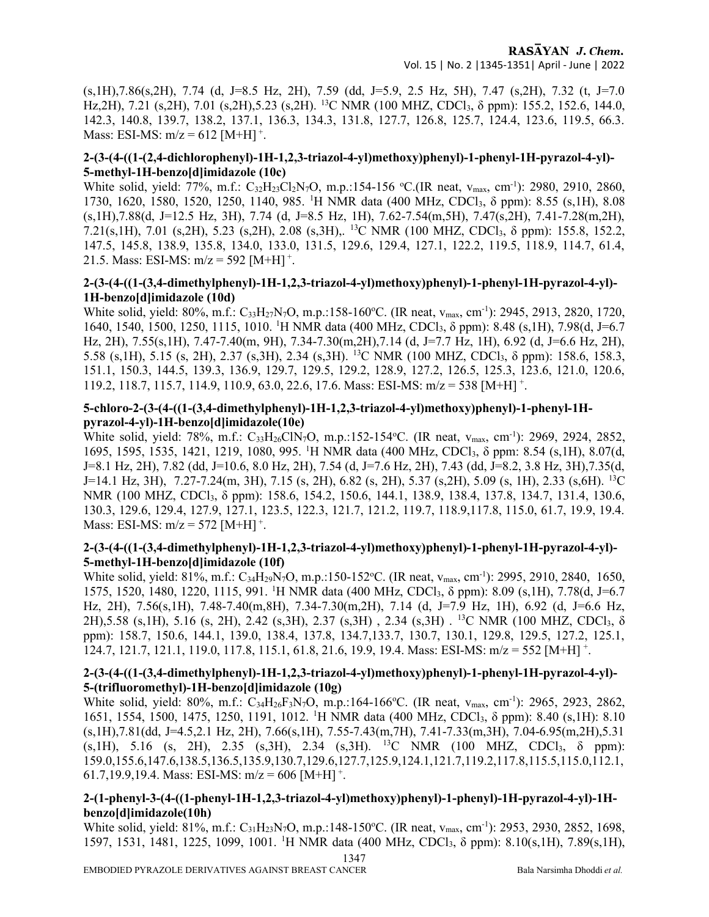(s,1H),7.86(s,2H), 7.74 (d, J=8.5 Hz, 2H), 7.59 (dd, J=5.9, 2.5 Hz, 5H), 7.47 (s,2H), 7.32 (t, J=7.0 Hz, 2H), 7.21 (s, 2H), 7.01 (s, 2H), 5.23 (s, 2H). <sup>13</sup>C NMR (100 MHZ, CDCl<sub>3</sub>, δ ppm): 155.2, 152.6, 144.0, 142.3, 140.8, 139.7, 138.2, 137.1, 136.3, 134.3, 131.8, 127.7, 126.8, 125.7, 124.4, 123.6, 119.5, 66.3. Mass: ESI-MS:  $m/z = 612$  [M+H]<sup>+</sup>.

#### 2-(3-(4-((1-(2,4-dichlorophenyl)-1H-1,2,3-triazol-4-yl)methoxy)phenyl)-1-phenyl-1H-pyrazol-4-yl)- 5-methyl-1H-benzo[d]imidazole (10c)

White solid, yield: 77%, m.f.:  $C_{32}H_{23}Cl_2N_7O$ , m.p.:154-156 °C.(IR neat,  $v_{\text{max}}$ , cm<sup>-1</sup>): 2980, 2910, 2860, 1730, 1620, 1580, 1520, 1250, 1140, 985. <sup>1</sup>H NMR data (400 MHz, CDCl3, δ ppm): 8.55 (s,1H), 8.08 (s,1H),7.88(d, J=12.5 Hz, 3H), 7.74 (d, J=8.5 Hz, 1H), 7.62-7.54(m,5H), 7.47(s,2H), 7.41-7.28(m,2H), 7.21(s,1H), 7.01 (s,2H), 5.23 (s,2H), 2.08 (s,3H),. <sup>13</sup>C NMR (100 MHZ, CDCl3, δ ppm): 155.8, 152.2, 147.5, 145.8, 138.9, 135.8, 134.0, 133.0, 131.5, 129.6, 129.4, 127.1, 122.2, 119.5, 118.9, 114.7, 61.4, 21.5. Mass: ESI-MS:  $m/z = 592$  [M+H]<sup>+</sup>.

#### 2-(3-(4-((1-(3,4-dimethylphenyl)-1H-1,2,3-triazol-4-yl)methoxy)phenyl)-1-phenyl-1H-pyrazol-4-yl)- 1H-benzo[d]imidazole (10d)

White solid, yield: 80%, m.f.: C<sub>33</sub>H<sub>27</sub>N<sub>7</sub>O, m.p.:158-160°C. (IR neat, v<sub>max</sub>, cm<sup>-1</sup>): 2945, 2913, 2820, 1720, 1640, 1540, 1500, 1250, 1115, 1010. <sup>1</sup>H NMR data (400 MHz, CDCl3, δ ppm): 8.48 (s,1H), 7.98(d, J=6.7 Hz, 2H), 7.55(s,1H), 7.47-7.40(m, 9H), 7.34-7.30(m,2H),7.14 (d, J=7.7 Hz, 1H), 6.92 (d, J=6.6 Hz, 2H), 5.58 (s,1H), 5.15 (s, 2H), 2.37 (s,3H), 2.34 (s,3H). <sup>13</sup>C NMR (100 MHZ, CDCl3, δ ppm): 158.6, 158.3, 151.1, 150.3, 144.5, 139.3, 136.9, 129.7, 129.5, 129.2, 128.9, 127.2, 126.5, 125.3, 123.6, 121.0, 120.6, 119.2, 118.7, 115.7, 114.9, 110.9, 63.0, 22.6, 17.6. Mass: ESI-MS: m/z = 538 [M+H]<sup>+</sup>.

#### 5-chloro-2-(3-(4-((1-(3,4-dimethylphenyl)-1H-1,2,3-triazol-4-yl)methoxy)phenyl)-1-phenyl-1Hpyrazol-4-yl)-1H-benzo[d]imidazole(10e)

White solid, yield: 78%, m.f.:  $C_{33}H_{26}CIN_7O$ , m.p.:152-154°C. (IR neat,  $v_{\text{max}}$ , cm<sup>-1</sup>): 2969, 2924, 2852, 1695, 1595, 1535, 1421, 1219, 1080, 995. <sup>1</sup>H NMR data (400 MHz, CDCl3, δ ppm: 8.54 (s,1H), 8.07(d, J=8.1 Hz, 2H), 7.82 (dd, J=10.6, 8.0 Hz, 2H), 7.54 (d, J=7.6 Hz, 2H), 7.43 (dd, J=8.2, 3.8 Hz, 3H),7.35(d, J=14.1 Hz, 3H), 7.27-7.24(m, 3H), 7.15 (s, 2H), 6.82 (s, 2H), 5.37 (s,2H), 5.09 (s, 1H), 2.33 (s,6H). <sup>13</sup>C NMR (100 MHZ, CDCl<sub>3</sub>, δ ppm): 158.6, 154.2, 150.6, 144.1, 138.9, 138.4, 137.8, 134.7, 131.4, 130.6, 130.3, 129.6, 129.4, 127.9, 127.1, 123.5, 122.3, 121.7, 121.2, 119.7, 118.9,117.8, 115.0, 61.7, 19.9, 19.4. Mass: ESI-MS:  $m/z = 572$  [M+H]<sup>+</sup>.

#### 2-(3-(4-((1-(3,4-dimethylphenyl)-1H-1,2,3-triazol-4-yl)methoxy)phenyl)-1-phenyl-1H-pyrazol-4-yl)- 5-methyl-1H-benzo[d]imidazole (10f)

White solid, yield: 81%, m.f.: C<sub>34</sub>H<sub>29</sub>N<sub>7</sub>O, m.p.:150-152°C. (IR neat, v<sub>max</sub>, cm<sup>-1</sup>): 2995, 2910, 2840, 1650, 1575, 1520, 1480, 1220, 1115, 991. <sup>1</sup>H NMR data (400 MHz, CDCl3, δ ppm): 8.09 (s,1H), 7.78(d, J=6.7 Hz, 2H), 7.56(s,1H), 7.48-7.40(m,8H), 7.34-7.30(m,2H), 7.14 (d, J=7.9 Hz, 1H), 6.92 (d, J=6.6 Hz, 2H),5.58 (s,1H), 5.16 (s, 2H), 2.42 (s,3H), 2.37 (s,3H) , 2.34 (s,3H) . <sup>13</sup>C NMR (100 MHZ, CDCl3, δ ppm): 158.7, 150.6, 144.1, 139.0, 138.4, 137.8, 134.7,133.7, 130.7, 130.1, 129.8, 129.5, 127.2, 125.1, 124.7, 121.7, 121.1, 119.0, 117.8, 115.1, 61.8, 21.6, 19.9, 19.4. Mass: ESI-MS: m/z = 552 [M+H]<sup>+</sup>.

#### 2-(3-(4-((1-(3,4-dimethylphenyl)-1H-1,2,3-triazol-4-yl)methoxy)phenyl)-1-phenyl-1H-pyrazol-4-yl)- 5-(trifluoromethyl)-1H-benzo[d]imidazole (10g)

White solid, yield: 80%, m.f.:  $C_{34}H_{26}F_{3}N_7O$ , m.p.:164-166°C. (IR neat,  $v_{\text{max}}$ , cm<sup>-1</sup>): 2965, 2923, 2862, 1651, 1554, 1500, 1475, 1250, 1191, 1012. <sup>1</sup>H NMR data (400 MHz, CDCl3, δ ppm): 8.40 (s,1H): 8.10 (s,1H),7.81(dd, J=4.5,2.1 Hz, 2H), 7.66(s,1H), 7.55-7.43(m,7H), 7.41-7.33(m,3H), 7.04-6.95(m,2H),5.31 (s,1H), 5.16 (s, 2H), 2.35 (s,3H), 2.34 (s,3H). <sup>13</sup>C NMR (100 MHZ, CDCl<sub>3</sub>,  $\delta$  ppm): 159.0,155.6,147.6,138.5,136.5,135.9,130.7,129.6,127.7,125.9,124.1,121.7,119.2,117.8,115.5,115.0,112.1, 61.7,19.9,19.4. Mass: ESI-MS:  $m/z = 606$  [M+H]<sup>+</sup>.

### 2-(1-phenyl-3-(4-((1-phenyl-1H-1,2,3-triazol-4-yl)methoxy)phenyl)-1-phenyl)-1H-pyrazol-4-yl)-1Hbenzo[d]imidazole(10h)

1347 White solid, yield: 81%, m.f.:  $C_{31}H_{23}N_7O$ , m.p.:148-150°C. (IR neat,  $V_{\text{max}}$ , cm<sup>-1</sup>): 2953, 2930, 2852, 1698, 1597, 1531, 1481, 1225, 1099, 1001. <sup>1</sup>H NMR data (400 MHz, CDCl3, δ ppm): 8.10(s,1H), 7.89(s,1H),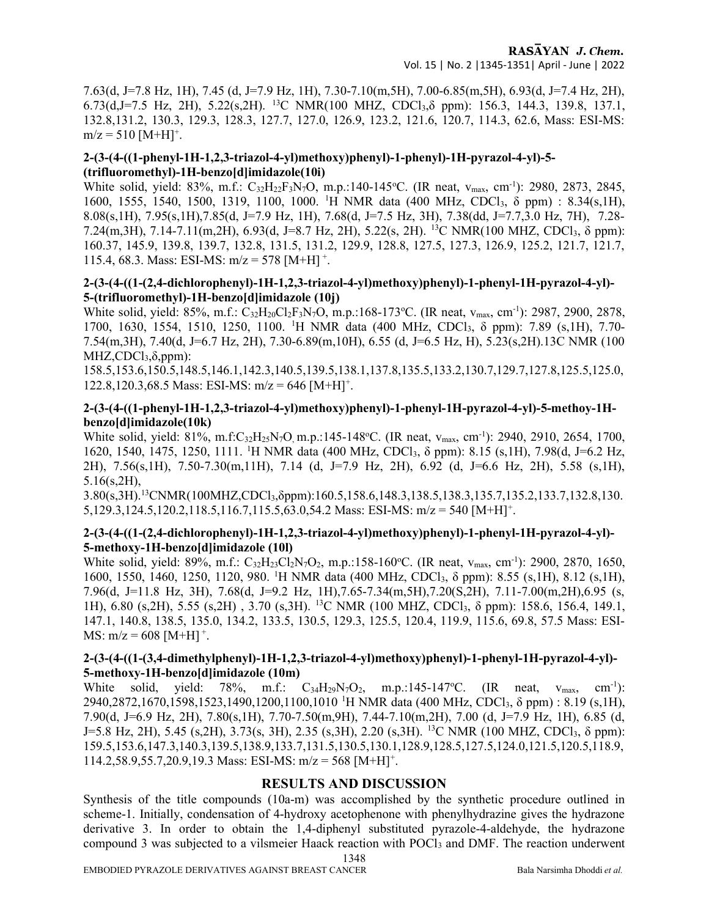7.63(d, J=7.8 Hz, 1H), 7.45 (d, J=7.9 Hz, 1H), 7.30-7.10(m,5H), 7.00-6.85(m,5H), 6.93(d, J=7.4 Hz, 2H), 6.73(d,J=7.5 Hz, 2H), 5.22(s,2H). <sup>13</sup>C NMR(100 MHZ, CDCl3,δ ppm): 156.3, 144.3, 139.8, 137.1, 132.8,131.2, 130.3, 129.3, 128.3, 127.7, 127.0, 126.9, 123.2, 121.6, 120.7, 114.3, 62.6, Mass: ESI-MS:  $m/z = 510$  [M+H]<sup>+</sup>.

#### 2-(3-(4-((1-phenyl-1H-1,2,3-triazol-4-yl)methoxy)phenyl)-1-phenyl)-1H-pyrazol-4-yl)-5- (trifluoromethyl)-1H-benzo[d]imidazole(10i)

White solid, yield: 83%, m.f.:  $C_{32}H_{22}F_{3}N_7O$ , m.p.:140-145°C. (IR neat,  $v_{\text{max}}$ , cm<sup>-1</sup>): 2980, 2873, 2845, 1600, 1555, 1540, 1500, 1319, 1100, 1000. <sup>1</sup>H NMR data (400 MHz, CDCl3, δ ppm) : 8.34(s,1H), 8.08(s,1H), 7.95(s,1H),7.85(d, J=7.9 Hz, 1H), 7.68(d, J=7.5 Hz, 3H), 7.38(dd, J=7.7,3.0 Hz, 7H), 7.28- 7.24(m,3H), 7.14-7.11(m,2H), 6.93(d, J=8.7 Hz, 2H), 5.22(s, 2H). <sup>13</sup>C NMR(100 MHZ, CDCl3, δ ppm): 160.37, 145.9, 139.8, 139.7, 132.8, 131.5, 131.2, 129.9, 128.8, 127.5, 127.3, 126.9, 125.2, 121.7, 121.7, 115.4, 68.3. Mass: ESI-MS:  $m/z = 578$  [M+H]<sup>+</sup>.

#### 2-(3-(4-((1-(2,4-dichlorophenyl)-1H-1,2,3-triazol-4-yl)methoxy)phenyl)-1-phenyl-1H-pyrazol-4-yl)- 5-(trifluoromethyl)-1H-benzo[d]imidazole (10j)

White solid, yield: 85%, m.f.: C<sub>32</sub>H<sub>20</sub>Cl<sub>2</sub>F<sub>3</sub>N<sub>7</sub>O, m.p.:168-173°C. (IR neat, v<sub>max</sub>, cm<sup>-1</sup>): 2987, 2900, 2878, 1700, 1630, 1554, 1510, 1250, 1100. <sup>1</sup>H NMR data (400 MHz, CDCl3, δ ppm): 7.89 (s,1H), 7.70- 7.54(m,3H), 7.40(d, J=6.7 Hz, 2H), 7.30-6.89(m,10H), 6.55 (d, J=6.5 Hz, H), 5.23(s,2H).13C NMR (100  $MHZ, CDCl<sub>3</sub>, \delta, ppm)$ :

158.5,153.6,150.5,148.5,146.1,142.3,140.5,139.5,138.1,137.8,135.5,133.2,130.7,129.7,127.8,125.5,125.0, 122.8,120.3,68.5 Mass: ESI-MS: m/z = 646 [M+H]<sup>+</sup>.

#### 2-(3-(4-((1-phenyl-1H-1,2,3-triazol-4-yl)methoxy)phenyl)-1-phenyl-1H-pyrazol-4-yl)-5-methoy-1Hbenzo[d]imidazole(10k)

White solid, yield:  $81\%$ , m.f:C<sub>32</sub>H<sub>25</sub>N<sub>7</sub>O, m.p.:145-148 °C. (IR neat, v<sub>max</sub>, cm<sup>-1</sup>): 2940, 2910, 2654, 1700, 1620, 1540, 1475, 1250, 1111. <sup>1</sup>H NMR data (400 MHz, CDCl<sub>3</sub>, δ ppm): 8.15 (s,1H), 7.98(d, J=6.2 Hz, 2H), 7.56(s,1H), 7.50-7.30(m,11H), 7.14 (d, J=7.9 Hz, 2H), 6.92 (d, J=6.6 Hz, 2H), 5.58 (s,1H), 5.16(s,2H),

3.80(s,3H).<sup>13</sup>CNMR(100MHZ,CDCl<sub>3</sub>,δppm):160.5,158.6,148.3,138.5,138.3,135.7,135.2,133.7,132.8,130.  $5,129.3,124.5,120.2,118.5,116.7,115.5,63.0,54.2$  Mass: ESI-MS: m/z = 540 [M+H]<sup>+</sup>.

### 2-(3-(4-((1-(2,4-dichlorophenyl)-1H-1,2,3-triazol-4-yl)methoxy)phenyl)-1-phenyl-1H-pyrazol-4-yl)- 5-methoxy-1H-benzo[d]imidazole (10l)

White solid, yield: 89%, m.f.: C<sub>32</sub>H<sub>23</sub>Cl<sub>2</sub>N<sub>7</sub>O<sub>2</sub>, m.p.:158-160°C. (IR neat, v<sub>max</sub>, cm<sup>-1</sup>): 2900, 2870, 1650, 1600, 1550, 1460, 1250, 1120, 980. <sup>1</sup>H NMR data (400 MHz, CDCl3, δ ppm): 8.55 (s,1H), 8.12 (s,1H), 7.96(d, J=11.8 Hz, 3H), 7.68(d, J=9.2 Hz, 1H),7.65-7.34(m,5H),7.20(S,2H), 7.11-7.00(m,2H),6.95 (s, 1H), 6.80 (s,2H), 5.55 (s,2H) , 3.70 (s,3H). <sup>13</sup>C NMR (100 MHZ, CDCl3, δ ppm): 158.6, 156.4, 149.1, 147.1, 140.8, 138.5, 135.0, 134.2, 133.5, 130.5, 129.3, 125.5, 120.4, 119.9, 115.6, 69.8, 57.5 Mass: ESI-MS:  $m/z = 608$  [M+H]<sup>+</sup>.

### 2-(3-(4-((1-(3,4-dimethylphenyl)-1H-1,2,3-triazol-4-yl)methoxy)phenyl)-1-phenyl-1H-pyrazol-4-yl)- 5-methoxy-1H-benzo[d]imidazole (10m)

White solid, yield: 78%, m.f.:  $C_{34}H_{29}N_7O_2$ , m.p.:145-147°C. (IR neat,  $v_{\text{max}}$ , cm<sup>-1</sup>): 2940,2872,1670,1598,1523,1490,1200,1100,1010 <sup>1</sup>H NMR data (400 MHz, CDCl3, δ ppm) : 8.19 (s,1H), 7.90(d, J=6.9 Hz, 2H), 7.80(s,1H), 7.70-7.50(m,9H), 7.44-7.10(m,2H), 7.00 (d, J=7.9 Hz, 1H), 6.85 (d, J=5.8 Hz, 2H), 5.45 (s, 2H), 3.73(s, 3H), 2.35 (s, 3H), 2.20 (s, 3H). <sup>13</sup>C NMR (100 MHZ, CDCl<sub>3</sub>,  $\delta$  ppm): 159.5,153.6,147.3,140.3,139.5,138.9,133.7,131.5,130.5,130.1,128.9,128.5,127.5,124.0,121.5,120.5,118.9, 114.2,58.9,55.7,20.9,19.3 Mass: ESI-MS: m/z = 568 [M+H]<sup>+</sup>.

## RESULTS AND DISCUSSION

Synthesis of the title compounds (10a-m) was accomplished by the synthetic procedure outlined in scheme-1. Initially, condensation of 4-hydroxy acetophenone with phenylhydrazine gives the hydrazone derivative 3. In order to obtain the 1,4-diphenyl substituted pyrazole-4-aldehyde, the hydrazone compound 3 was subjected to a vilsmeier Haack reaction with POCl<sub>3</sub> and DMF. The reaction underwent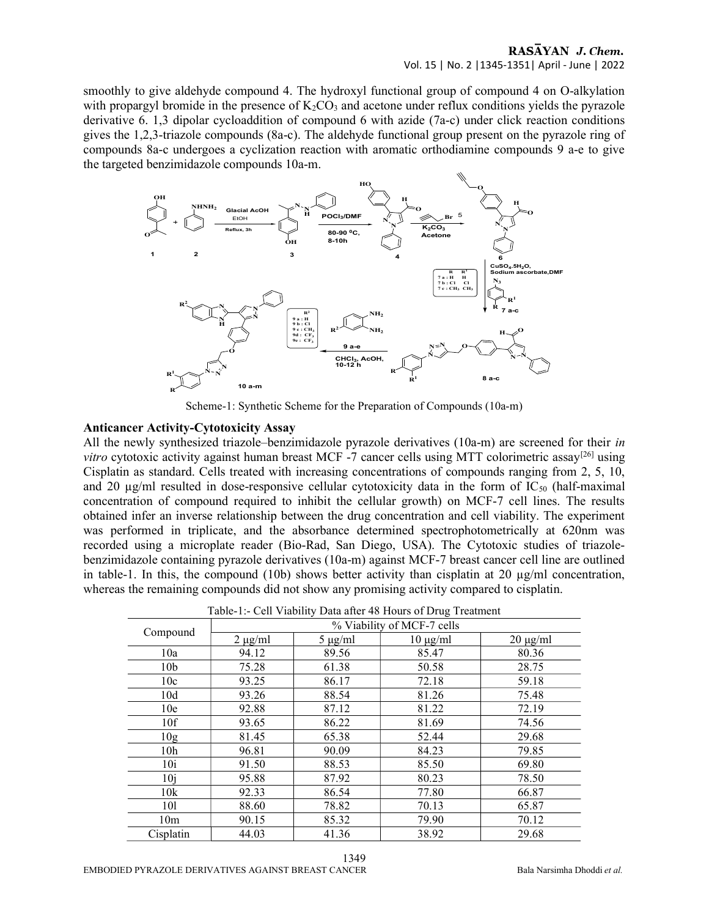# Vol. 15 | No. 2 |1345-1351| April - June | 2022

smoothly to give aldehyde compound 4. The hydroxyl functional group of compound 4 on O-alkylation with propargyl bromide in the presence of  $K_2CO_3$  and acetone under reflux conditions yields the pyrazole derivative 6. 1,3 dipolar cycloaddition of compound 6 with azide (7a-c) under click reaction conditions gives the 1,2,3-triazole compounds (8a-c). The aldehyde functional group present on the pyrazole ring of compounds 8a-c undergoes a cyclization reaction with aromatic orthodiamine compounds 9 a-e to give the targeted benzimidazole compounds 10a-m.



Scheme-1: Synthetic Scheme for the Preparation of Compounds (10a-m)

#### Anticancer Activity-Cytotoxicity Assay

All the newly synthesized triazole–benzimidazole pyrazole derivatives (10a-m) are screened for their in *vitro* cytotoxic activity against human breast MCF -7 cancer cells using MTT colorimetric assay<sup>[26]</sup> using Cisplatin as standard. Cells treated with increasing concentrations of compounds ranging from 2, 5, 10, and 20  $\mu$ g/ml resulted in dose-responsive cellular cytotoxicity data in the form of IC<sub>50</sub> (half-maximal concentration of compound required to inhibit the cellular growth) on MCF-7 cell lines. The results obtained infer an inverse relationship between the drug concentration and cell viability. The experiment was performed in triplicate, and the absorbance determined spectrophotometrically at 620nm was recorded using a microplate reader (Bio-Rad, San Diego, USA). The Cytotoxic studies of triazolebenzimidazole containing pyrazole derivatives (10a-m) against MCF-7 breast cancer cell line are outlined in table-1. In this, the compound (10b) shows better activity than cisplatin at 20  $\mu$ g/ml concentration, whereas the remaining compounds did not show any promising activity compared to cisplatin.

| Table-1:- Cell Viability Data after 48 Hours of Drug Treatment |                            |              |               |               |
|----------------------------------------------------------------|----------------------------|--------------|---------------|---------------|
| Compound                                                       | % Viability of MCF-7 cells |              |               |               |
|                                                                | $2 \mu g/ml$               | $5 \mu g/ml$ | $10 \mu g/ml$ | $20 \mu g/ml$ |
| 10a                                                            | 94.12                      | 89.56        | 85.47         | 80.36         |
| 10 <sub>b</sub>                                                | 75.28                      | 61.38        | 50.58         | 28.75         |
| 10c                                                            | 93.25                      | 86.17        | 72.18         | 59.18         |
| 10d                                                            | 93.26                      | 88.54        | 81.26         | 75.48         |
| 10 <sub>e</sub>                                                | 92.88                      | 87.12        | 81.22         | 72.19         |
| 10f                                                            | 93.65                      | 86.22        | 81.69         | 74.56         |
| 10g                                                            | 81.45                      | 65.38        | 52.44         | 29.68         |
| 10 <sub>h</sub>                                                | 96.81                      | 90.09        | 84.23         | 79.85         |
| 10i                                                            | 91.50                      | 88.53        | 85.50         | 69.80         |
| 10i                                                            | 95.88                      | 87.92        | 80.23         | 78.50         |
| 10k                                                            | 92.33                      | 86.54        | 77.80         | 66.87         |
| 101                                                            | 88.60                      | 78.82        | 70.13         | 65.87         |
| 10 <sub>m</sub>                                                | 90.15                      | 85.32        | 79.90         | 70.12         |
| Cisplatin                                                      | 44.03                      | 41.36        | 38.92         | 29.68         |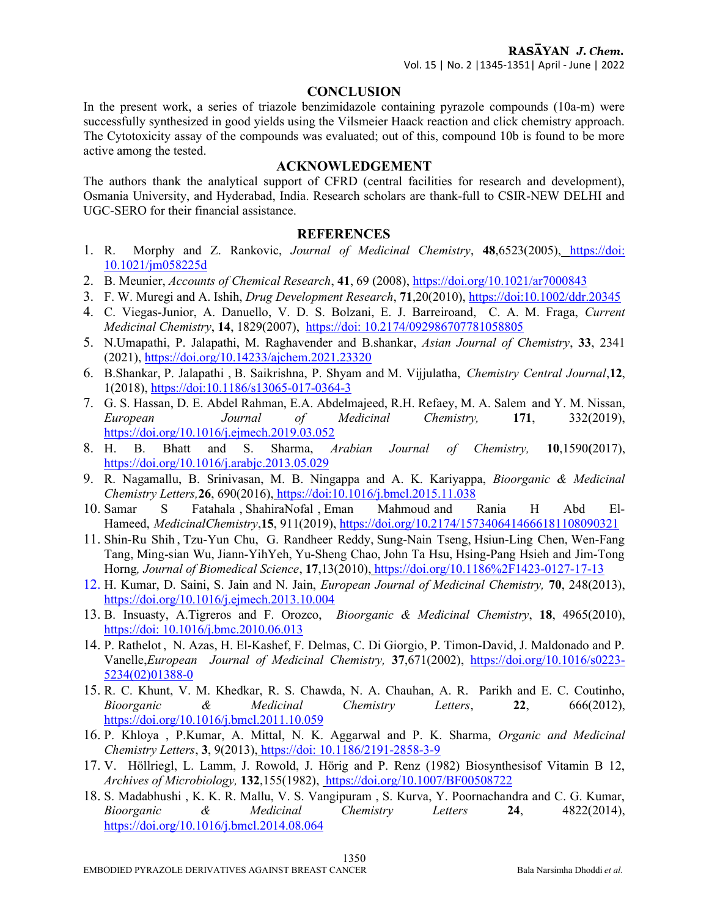#### **CONCLUSION**

In the present work, a series of triazole benzimidazole containing pyrazole compounds (10a-m) were successfully synthesized in good yields using the Vilsmeier Haack reaction and click chemistry approach. The Cytotoxicity assay of the compounds was evaluated; out of this, compound 10b is found to be more active among the tested.

#### ACKNOWLEDGEMENT

The authors thank the analytical support of CFRD (central facilities for research and development), Osmania University, and Hyderabad, India. Research scholars are thank-full to CSIR-NEW DELHI and UGC-SERO for their financial assistance.

#### REFERENCES

- 1. R. Morphy and Z. Rankovic, Journal of Medicinal Chemistry, 48,6523(2005), https://doi: 10.1021/jm058225d
- 2. B. Meunier, Accounts of Chemical Research, 41, 69 (2008), https://doi.org/10.1021/ar7000843
- 3. F. W. Muregi and A. Ishih, Drug Development Research, 71,20(2010), https://doi:10.1002/ddr.20345
- 4. C. Viegas-Junior, A. Danuello, V. D. S. Bolzani, E. J. Barreiroand, C. A. M. Fraga, Current Medicinal Chemistry, 14, 1829(2007), https://doi: 10.2174/092986707781058805
- 5. N.Umapathi, P. Jalapathi, M. Raghavender and B.shankar, Asian Journal of Chemistry, 33, 2341 (2021), https://doi.org/10.14233/ajchem.2021.23320
- 6. B.Shankar, P. Jalapathi , B. Saikrishna, P. Shyam and M. Vijjulatha, Chemistry Central Journal,12, 1(2018), https://doi:10.1186/s13065-017-0364-3
- 7. G. S. Hassan, D. E. Abdel Rahman, E.A. Abdelmajeed, R.H. Refaey, M. A. Salem and Y. M. Nissan, European Journal of Medicinal Chemistry, 171, 332(2019), https://doi.org/10.1016/j.ejmech.2019.03.052
- 8. H. B. Bhatt and S. Sharma, Arabian Journal of Chemistry, 10,1590(2017), https://doi.org/10.1016/j.arabjc.2013.05.029
- 9. R. Nagamallu, B. Srinivasan, M. B. Ningappa and A. K. Kariyappa, Bioorganic & Medicinal Chemistry Letters,26, 690(2016), https://doi:10.1016/j.bmcl.2015.11.038
- 10. Samar S Fatahala , ShahiraNofal , Eman Mahmoud and Rania H Abd El-Hameed, MedicinalChemistry,15, 911(2019), https://doi.org/10.2174/1573406414666181108090321
- 11. Shin-Ru Shih , Tzu-Yun Chu, G. Randheer Reddy, Sung-Nain Tseng, Hsiun-Ling Chen, Wen-Fang Tang, Ming-sian Wu, Jiann-YihYeh, Yu-Sheng Chao, John Ta Hsu, Hsing-Pang Hsieh and Jim-Tong Horng, Journal of Biomedical Science, 17,13(2010), https://doi.org/10.1186%2F1423-0127-17-13
- 12. H. Kumar, D. Saini, S. Jain and N. Jain, European Journal of Medicinal Chemistry, 70, 248(2013), https://doi.org/10.1016/j.ejmech.2013.10.004
- 13. B. Insuasty, A.Tigreros and F. Orozco, Bioorganic & Medicinal Chemistry, 18, 4965(2010), https://doi: 10.1016/j.bmc.2010.06.013
- 14. P. Rathelot , N. Azas, H. El-Kashef, F. Delmas, C. Di Giorgio, P. Timon-David, J. Maldonado and P. Vanelle,European Journal of Medicinal Chemistry, 37,671(2002), https://doi.org/10.1016/s0223- 5234(02)01388-0
- 15. R. C. Khunt, V. M. Khedkar, R. S. Chawda, N. A. Chauhan, A. R. Parikh and E. C. Coutinho, Bioorganic & Medicinal Chemistry Letters,  $22$ ,  $666(2012)$ , https://doi.org/10.1016/j.bmcl.2011.10.059
- 16. P. Khloya , P.Kumar, A. Mittal, N. K. Aggarwal and P. K. Sharma, Organic and Medicinal Chemistry Letters, 3, 9(2013), https://doi: 10.1186/2191-2858-3-9
- 17. V. Höllriegl, L. Lamm, J. Rowold, J. Hörig and P. Renz (1982) Biosynthesisof Vitamin B 12, Archives of Microbiology, 132,155(1982), https://doi.org/10.1007/BF00508722
- 18. S. Madabhushi , K. K. R. Mallu, V. S. Vangipuram , S. Kurva, Y. Poornachandra and C. G. Kumar, Bioorganic & Medicinal Chemistry Letters  $24$ ,  $4822(2014)$ , https://doi.org/10.1016/j.bmcl.2014.08.064